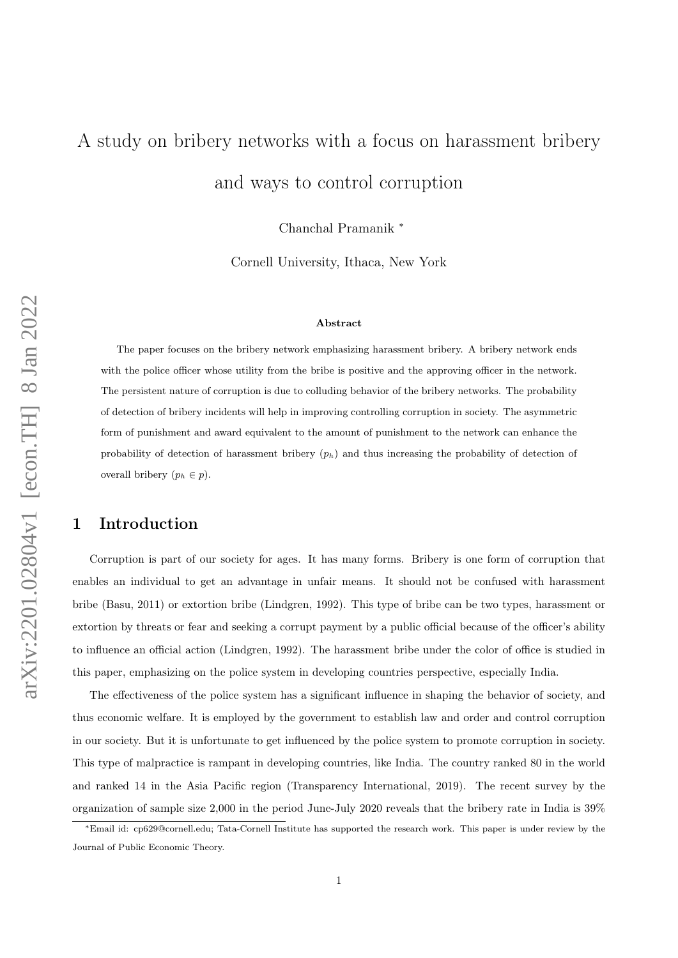# <span id="page-0-0"></span>A study on bribery networks with a focus on harassment bribery and ways to control corruption

Chanchal Pramanik <sup>∗</sup>

Cornell University, Ithaca, New York

#### Abstract

The paper focuses on the bribery network emphasizing harassment bribery. A bribery network ends with the police officer whose utility from the bribe is positive and the approving officer in the network. The persistent nature of corruption is due to colluding behavior of the bribery networks. The probability of detection of bribery incidents will help in improving controlling corruption in society. The asymmetric form of punishment and award equivalent to the amount of punishment to the network can enhance the probability of detection of harassment bribery  $(p_h)$  and thus increasing the probability of detection of overall bribery  $(p_h \in p)$ .

## 1 Introduction

Corruption is part of our society for ages. It has many forms. Bribery is one form of corruption that enables an individual to get an advantage in unfair means. It should not be confused with harassment bribe (Basu, 2011) or extortion bribe (Lindgren, 1992). This type of bribe can be two types, harassment or extortion by threats or fear and seeking a corrupt payment by a public official because of the officer's ability to influence an official action (Lindgren, 1992). The harassment bribe under the color of office is studied in this paper, emphasizing on the police system in developing countries perspective, especially India.

The effectiveness of the police system has a significant influence in shaping the behavior of society, and thus economic welfare. It is employed by the government to establish law and order and control corruption in our society. But it is unfortunate to get influenced by the police system to promote corruption in society. This type of malpractice is rampant in developing countries, like India. The country ranked 80 in the world and ranked 14 in the Asia Pacific region (Transparency International, 2019). The recent survey by the organization of sample size 2,000 in the period June-July 2020 reveals that the bribery rate in India is 39%

<sup>∗</sup>Email id: cp629@cornell.edu; Tata-Cornell Institute has supported the research work. This paper is under review by the Journal of Public Economic Theory.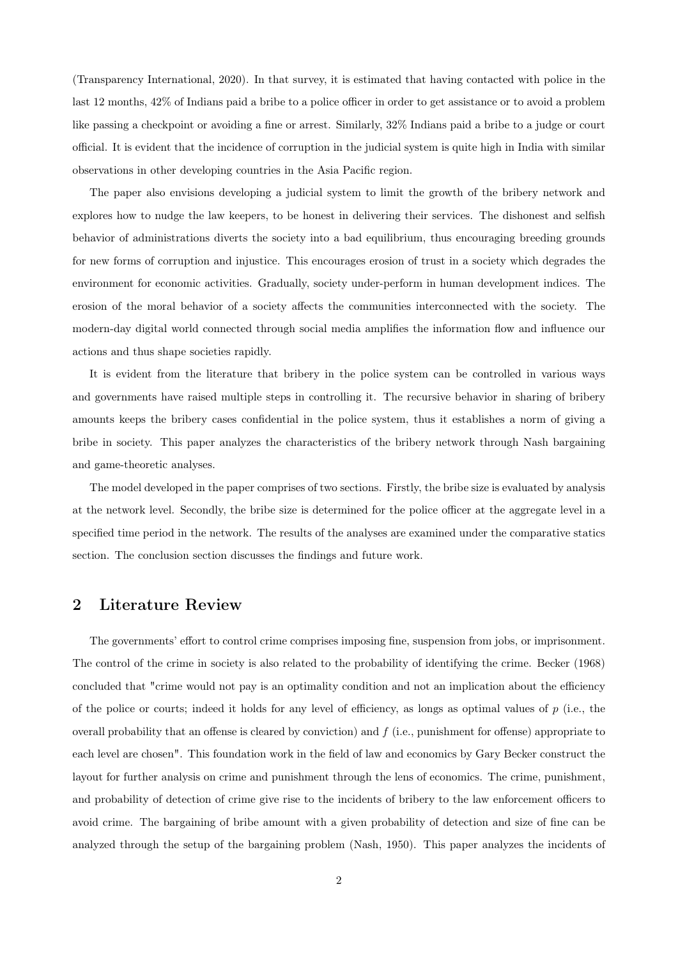(Transparency International, 2020). In that survey, it is estimated that having contacted with police in the last 12 months, 42% of Indians paid a bribe to a police officer in order to get assistance or to avoid a problem like passing a checkpoint or avoiding a fine or arrest. Similarly, 32% Indians paid a bribe to a judge or court official. It is evident that the incidence of corruption in the judicial system is quite high in India with similar observations in other developing countries in the Asia Pacific region.

The paper also envisions developing a judicial system to limit the growth of the bribery network and explores how to nudge the law keepers, to be honest in delivering their services. The dishonest and selfish behavior of administrations diverts the society into a bad equilibrium, thus encouraging breeding grounds for new forms of corruption and injustice. This encourages erosion of trust in a society which degrades the environment for economic activities. Gradually, society under-perform in human development indices. The erosion of the moral behavior of a society affects the communities interconnected with the society. The modern-day digital world connected through social media amplifies the information flow and influence our actions and thus shape societies rapidly.

It is evident from the literature that bribery in the police system can be controlled in various ways and governments have raised multiple steps in controlling it. The recursive behavior in sharing of bribery amounts keeps the bribery cases confidential in the police system, thus it establishes a norm of giving a bribe in society. This paper analyzes the characteristics of the bribery network through Nash bargaining and game-theoretic analyses.

The model developed in the paper comprises of two sections. Firstly, the bribe size is evaluated by analysis at the network level. Secondly, the bribe size is determined for the police officer at the aggregate level in a specified time period in the network. The results of the analyses are examined under the comparative statics section. The conclusion section discusses the findings and future work.

## 2 Literature Review

The governments' effort to control crime comprises imposing fine, suspension from jobs, or imprisonment. The control of the crime in society is also related to the probability of identifying the crime. Becker (1968) concluded that "crime would not pay is an optimality condition and not an implication about the efficiency of the police or courts; indeed it holds for any level of efficiency, as longs as optimal values of  $p$  (i.e., the overall probability that an offense is cleared by conviction) and  $f$  (i.e., punishment for offense) appropriate to each level are chosen". This foundation work in the field of law and economics by Gary Becker construct the layout for further analysis on crime and punishment through the lens of economics. The crime, punishment, and probability of detection of crime give rise to the incidents of bribery to the law enforcement officers to avoid crime. The bargaining of bribe amount with a given probability of detection and size of fine can be analyzed through the setup of the bargaining problem (Nash, 1950). This paper analyzes the incidents of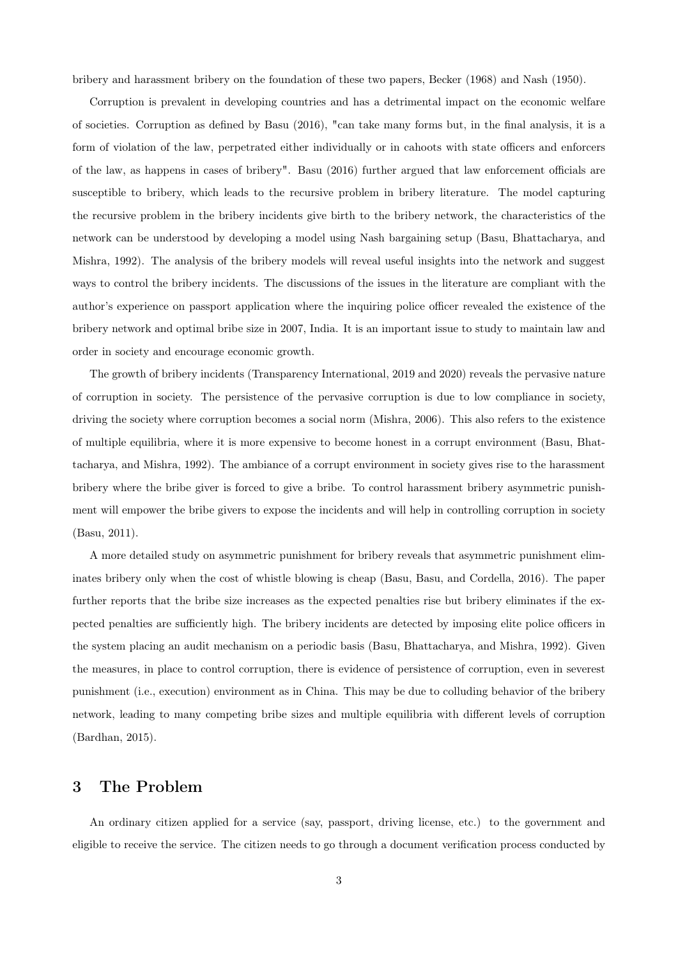bribery and harassment bribery on the foundation of these two papers, Becker (1968) and Nash (1950).

Corruption is prevalent in developing countries and has a detrimental impact on the economic welfare of societies. Corruption as defined by Basu (2016), "can take many forms but, in the final analysis, it is a form of violation of the law, perpetrated either individually or in cahoots with state officers and enforcers of the law, as happens in cases of bribery". Basu (2016) further argued that law enforcement officials are susceptible to bribery, which leads to the recursive problem in bribery literature. The model capturing the recursive problem in the bribery incidents give birth to the bribery network, the characteristics of the network can be understood by developing a model using Nash bargaining setup (Basu, Bhattacharya, and Mishra, 1992). The analysis of the bribery models will reveal useful insights into the network and suggest ways to control the bribery incidents. The discussions of the issues in the literature are compliant with the author's experience on passport application where the inquiring police officer revealed the existence of the bribery network and optimal bribe size in 2007, India. It is an important issue to study to maintain law and order in society and encourage economic growth.

The growth of bribery incidents (Transparency International, 2019 and 2020) reveals the pervasive nature of corruption in society. The persistence of the pervasive corruption is due to low compliance in society, driving the society where corruption becomes a social norm (Mishra, 2006). This also refers to the existence of multiple equilibria, where it is more expensive to become honest in a corrupt environment (Basu, Bhattacharya, and Mishra, 1992). The ambiance of a corrupt environment in society gives rise to the harassment bribery where the bribe giver is forced to give a bribe. To control harassment bribery asymmetric punishment will empower the bribe givers to expose the incidents and will help in controlling corruption in society (Basu, 2011).

A more detailed study on asymmetric punishment for bribery reveals that asymmetric punishment eliminates bribery only when the cost of whistle blowing is cheap (Basu, Basu, and Cordella, 2016). The paper further reports that the bribe size increases as the expected penalties rise but bribery eliminates if the expected penalties are sufficiently high. The bribery incidents are detected by imposing elite police officers in the system placing an audit mechanism on a periodic basis (Basu, Bhattacharya, and Mishra, 1992). Given the measures, in place to control corruption, there is evidence of persistence of corruption, even in severest punishment (i.e., execution) environment as in China. This may be due to colluding behavior of the bribery network, leading to many competing bribe sizes and multiple equilibria with different levels of corruption (Bardhan, 2015).

## 3 The Problem

An ordinary citizen applied for a service (say, passport, driving license, etc.) to the government and eligible to receive the service. The citizen needs to go through a document verification process conducted by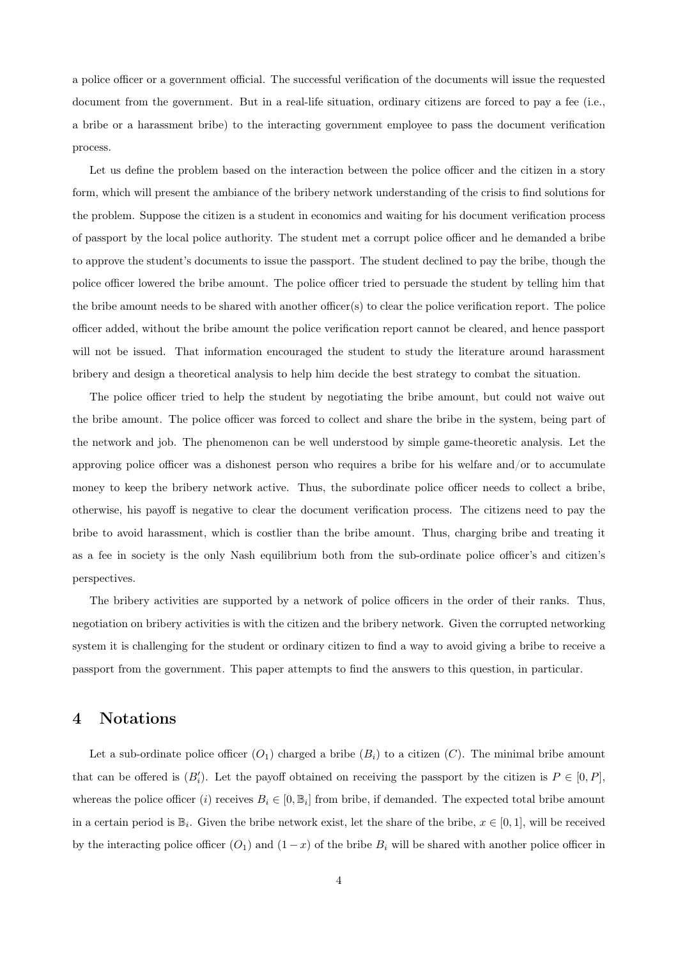a police officer or a government official. The successful verification of the documents will issue the requested document from the government. But in a real-life situation, ordinary citizens are forced to pay a fee (i.e., a bribe or a harassment bribe) to the interacting government employee to pass the document verification process.

Let us define the problem based on the interaction between the police officer and the citizen in a story form, which will present the ambiance of the bribery network understanding of the crisis to find solutions for the problem. Suppose the citizen is a student in economics and waiting for his document verification process of passport by the local police authority. The student met a corrupt police officer and he demanded a bribe to approve the student's documents to issue the passport. The student declined to pay the bribe, though the police officer lowered the bribe amount. The police officer tried to persuade the student by telling him that the bribe amount needs to be shared with another officer(s) to clear the police verification report. The police officer added, without the bribe amount the police verification report cannot be cleared, and hence passport will not be issued. That information encouraged the student to study the literature around harassment bribery and design a theoretical analysis to help him decide the best strategy to combat the situation.

The police officer tried to help the student by negotiating the bribe amount, but could not waive out the bribe amount. The police officer was forced to collect and share the bribe in the system, being part of the network and job. The phenomenon can be well understood by simple game-theoretic analysis. Let the approving police officer was a dishonest person who requires a bribe for his welfare and/or to accumulate money to keep the bribery network active. Thus, the subordinate police officer needs to collect a bribe, otherwise, his payoff is negative to clear the document verification process. The citizens need to pay the bribe to avoid harassment, which is costlier than the bribe amount. Thus, charging bribe and treating it as a fee in society is the only Nash equilibrium both from the sub-ordinate police officer's and citizen's perspectives.

The bribery activities are supported by a network of police officers in the order of their ranks. Thus, negotiation on bribery activities is with the citizen and the bribery network. Given the corrupted networking system it is challenging for the student or ordinary citizen to find a way to avoid giving a bribe to receive a passport from the government. This paper attempts to find the answers to this question, in particular.

## 4 Notations

Let a sub-ordinate police officer  $(O_1)$  charged a bribe  $(B_i)$  to a citizen  $(C)$ . The minimal bribe amount that can be offered is  $(B'_i)$ . Let the payoff obtained on receiving the passport by the citizen is  $P \in [0, P]$ , whereas the police officer (i) receives  $B_i \in [0, \mathbb{B}_i]$  from bribe, if demanded. The expected total bribe amount in a certain period is  $\mathbb{B}_i$ . Given the bribe network exist, let the share of the bribe,  $x \in [0,1]$ , will be received by the interacting police officer  $(O_1)$  and  $(1-x)$  of the bribe  $B_i$  will be shared with another police officer in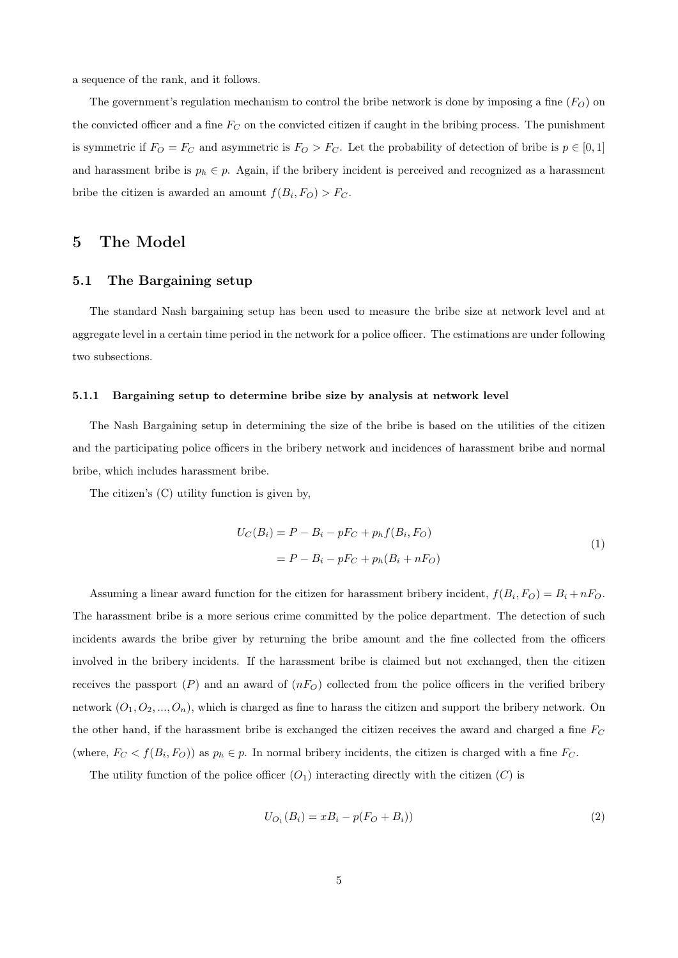a sequence of the rank, and it follows.

The government's regulation mechanism to control the bribe network is done by imposing a fine  $(F_O)$  on the convicted officer and a fine  $F_C$  on the convicted citizen if caught in the bribing process. The punishment is symmetric if  $F_O = F_C$  and asymmetric is  $F_O > F_C$ . Let the probability of detection of bribe is  $p \in [0, 1]$ and harassment bribe is  $p_h \in p$ . Again, if the bribery incident is perceived and recognized as a harassment bribe the citizen is awarded an amount  $f(B_i, F_O) > F_C$ .

## 5 The Model

#### 5.1 The Bargaining setup

The standard Nash bargaining setup has been used to measure the bribe size at network level and at aggregate level in a certain time period in the network for a police officer. The estimations are under following two subsections.

#### 5.1.1 Bargaining setup to determine bribe size by analysis at network level

The Nash Bargaining setup in determining the size of the bribe is based on the utilities of the citizen and the participating police officers in the bribery network and incidences of harassment bribe and normal bribe, which includes harassment bribe.

The citizen's (C) utility function is given by,

$$
U_C(B_i) = P - B_i - pF_C + p_h f(B_i, F_O)
$$
  
=  $P - B_i - pF_C + p_h(B_i + nF_O)$  (1)

Assuming a linear award function for the citizen for harassment bribery incident,  $f(B_i, F_O) = B_i + nF_O$ . The harassment bribe is a more serious crime committed by the police department. The detection of such incidents awards the bribe giver by returning the bribe amount and the fine collected from the officers involved in the bribery incidents. If the harassment bribe is claimed but not exchanged, then the citizen receives the passport  $(P)$  and an award of  $(nF<sub>O</sub>)$  collected from the police officers in the verified bribery network  $(O_1, O_2, ..., O_n)$ , which is charged as fine to harass the citizen and support the bribery network. On the other hand, if the harassment bribe is exchanged the citizen receives the award and charged a fine  $F_C$ (where,  $F_C < f(B_i, F_O)$ ) as  $p_h \in p$ . In normal bribery incidents, the citizen is charged with a fine  $F_C$ .

The utility function of the police officer  $(O_1)$  interacting directly with the citizen  $(C)$  is

$$
U_{O_1}(B_i) = xB_i - p(F_O + B_i))
$$
\n(2)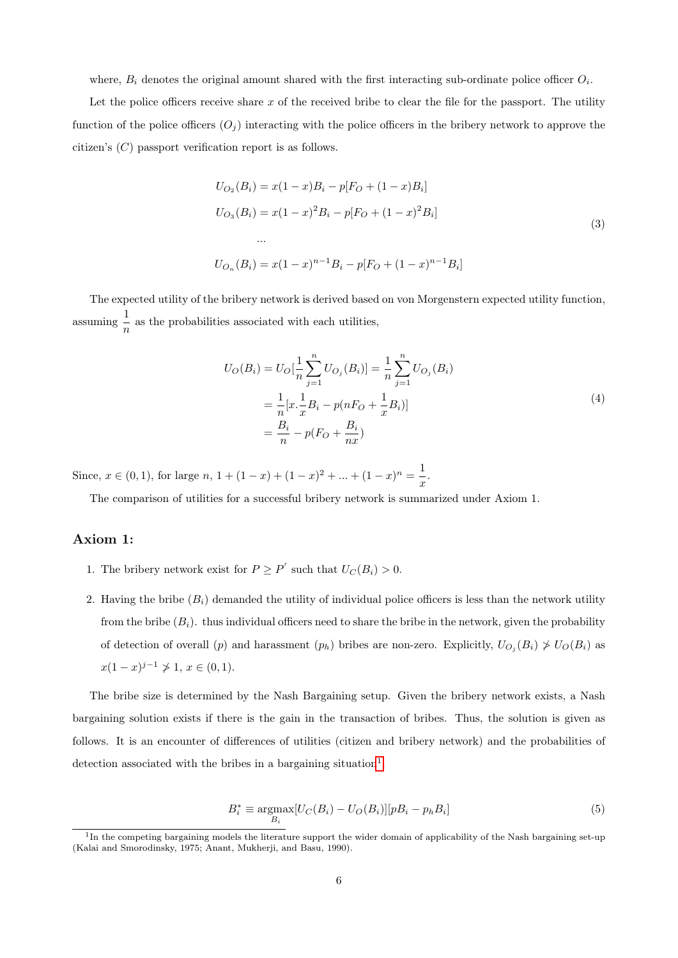where,  $B_i$  denotes the original amount shared with the first interacting sub-ordinate police officer  $O_i$ .

Let the police officers receive share  $x$  of the received bribe to clear the file for the passport. The utility function of the police officers  $(O_i)$  interacting with the police officers in the bribery network to approve the citizen's (C) passport verification report is as follows.

$$
U_{O_2}(B_i) = x(1-x)B_i - p[F_O + (1-x)B_i]
$$
  
\n
$$
U_{O_3}(B_i) = x(1-x)^2B_i - p[F_O + (1-x)^2B_i]
$$
  
\n...  
\n
$$
U_{O_n}(B_i) = x(1-x)^{n-1}B_i - p[F_O + (1-x)^{n-1}B_i]
$$
\n(3)

The expected utility of the bribery network is derived based on von Morgenstern expected utility function, assuming 1  $\frac{1}{n}$  as the probabilities associated with each utilities,

$$
U_O(B_i) = U_O[\frac{1}{n}\sum_{j=1}^n U_{O_j}(B_i)] = \frac{1}{n}\sum_{j=1}^n U_{O_j}(B_i)
$$
  
=  $\frac{1}{n}[x.\frac{1}{x}B_i - p(nF_O + \frac{1}{x}B_i)]$   
=  $\frac{B_i}{n} - p(F_O + \frac{B_i}{nx})$  (4)

Since,  $x \in (0,1)$ , for large  $n, 1 + (1-x) + (1-x)^2 + ... + (1-x)^n = \frac{1}{x}$  $\frac{1}{x}$ .

The comparison of utilities for a successful bribery network is summarized under Axiom 1.

#### Axiom 1:

- 1. The bribery network exist for  $P \ge P'$  such that  $U_C(B_i) > 0$ .
- 2. Having the bribe  $(B_i)$  demanded the utility of individual police officers is less than the network utility from the bribe  $(B_i)$ . thus individual officers need to share the bribe in the network, given the probability of detection of overall (p) and harassment  $(p_h)$  bribes are non-zero. Explicitly,  $U_{O_j}(B_i) \nsim U_O(B_i)$  as  $x(1-x)^{j-1} \not\geq 1, x \in (0,1).$

The bribe size is determined by the Nash Bargaining setup. Given the bribery network exists, a Nash bargaining solution exists if there is the gain in the transaction of bribes. Thus, the solution is given as follows. It is an encounter of differences of utilities (citizen and bribery network) and the probabilities of detection associated with the bribes in a bargaining situation<sup>[1](#page-0-0)</sup>.

$$
B_i^* \equiv \underset{B_i}{\text{argmax}} \left[ U_C(B_i) - U_O(B_i) \right] \left[ p B_i - p_h B_i \right] \tag{5}
$$

<sup>&</sup>lt;sup>1</sup>In the competing bargaining models the literature support the wider domain of applicability of the Nash bargaining set-up (Kalai and Smorodinsky, 1975; Anant, Mukherji, and Basu, 1990).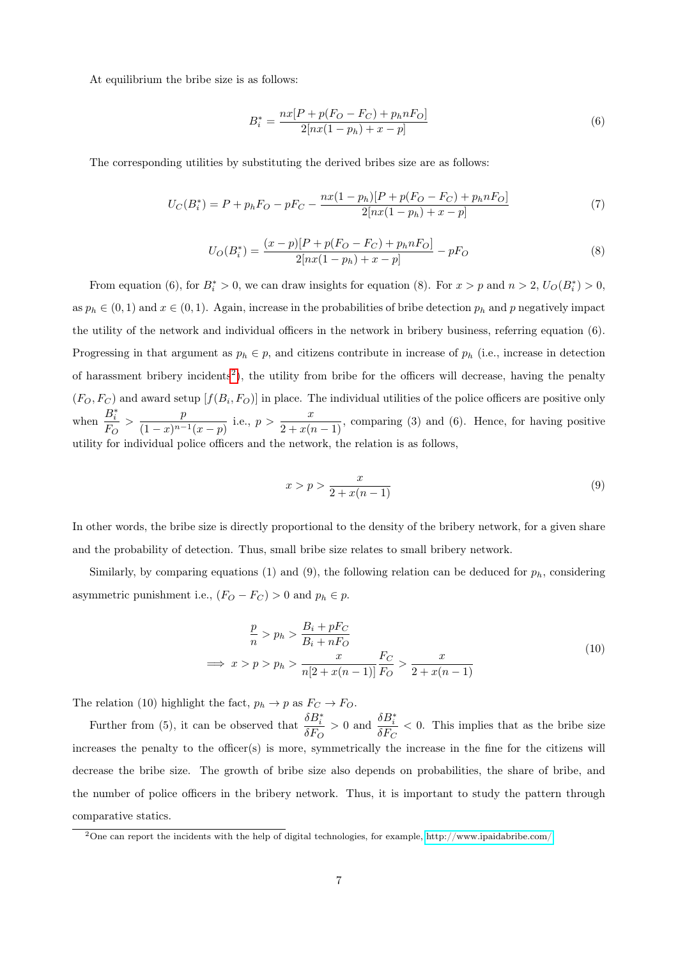At equilibrium the bribe size is as follows:

$$
B_i^* = \frac{nx[P + p(F_O - F_C) + p_h nF_O]}{2[nx(1 - p_h) + x - p]}
$$
\n(6)

The corresponding utilities by substituting the derived bribes size are as follows:

$$
U_C(B_i^*) = P + p_h F_O - pF_C - \frac{nx(1 - p_h)[P + p(F_O - F_C) + p_h nF_O]}{2[nx(1 - p_h) + x - p]}
$$
\n<sup>(7)</sup>

$$
U_O(B_i^*) = \frac{(x-p)[P + p(F_O - F_C) + p_h nF_O]}{2[nx(1-p_h) + x - p]} - pF_O
$$
\n(8)

From equation (6), for  $B_i^* > 0$ , we can draw insights for equation (8). For  $x > p$  and  $n > 2$ ,  $U_O(B_i^*) > 0$ , as  $p_h \in (0, 1)$  and  $x \in (0, 1)$ . Again, increase in the probabilities of bribe detection  $p_h$  and p negatively impact the utility of the network and individual officers in the network in bribery business, referring equation (6). Progressing in that argument as  $p_h \in p$ , and citizens contribute in increase of  $p_h$  (i.e., increase in detection of harassment bribery incidents<sup>[2](#page-0-0)</sup>), the utility from bribe for the officers will decrease, having the penalty  $(F_O, F_C)$  and award setup  $[f(B_i, F_O)]$  in place. The individual utilities of the police officers are positive only when  $\frac{B_i^*}{B_i}$  $\frac{B_i^*}{F_O} > \frac{p}{(1-x)^{n-1}}$  $\frac{p}{(1-x)^{n-1}(x-p)}$  i.e.,  $p > \frac{x}{2+x(n-1)}$ , comparing (3) and (6). Hence, for having positive utility for individual police officers and the network, the relation is as follows,

$$
x > p > \frac{x}{2 + x(n-1)}
$$
\n
$$
(9)
$$

In other words, the bribe size is directly proportional to the density of the bribery network, for a given share and the probability of detection. Thus, small bribe size relates to small bribery network.

Similarly, by comparing equations (1) and (9), the following relation can be deduced for  $p_h$ , considering asymmetric punishment i.e.,  $(F_O - F_C) > 0$  and  $p_h \in p$ .

$$
\frac{p}{n} > p_h > \frac{B_i + pF_C}{B_i + nF_O}
$$
\n
$$
\implies x > p > p_h > \frac{x}{n[2 + x(n-1)]} \frac{F_C}{F_O} > \frac{x}{2 + x(n-1)}
$$
\n(10)

The relation (10) highlight the fact,  $p_h \to p$  as  $F_C \to F_O$ .

Further from (5), it can be observed that  $\frac{\delta B_i^*}{\delta E_i^*}$  $\frac{\delta B_i^*}{\delta F_O} > 0$  and  $\frac{\delta B_i^*}{\delta F_C}$  $\frac{\partial D_i}{\partial F_C}$  < 0. This implies that as the bribe size increases the penalty to the officer(s) is more, symmetrically the increase in the fine for the citizens will decrease the bribe size. The growth of bribe size also depends on probabilities, the share of bribe, and the number of police officers in the bribery network. Thus, it is important to study the pattern through comparative statics.

<sup>&</sup>lt;sup>2</sup>One can report the incidents with the help of digital technologies, for example,<http://www.ipaidabribe.com/>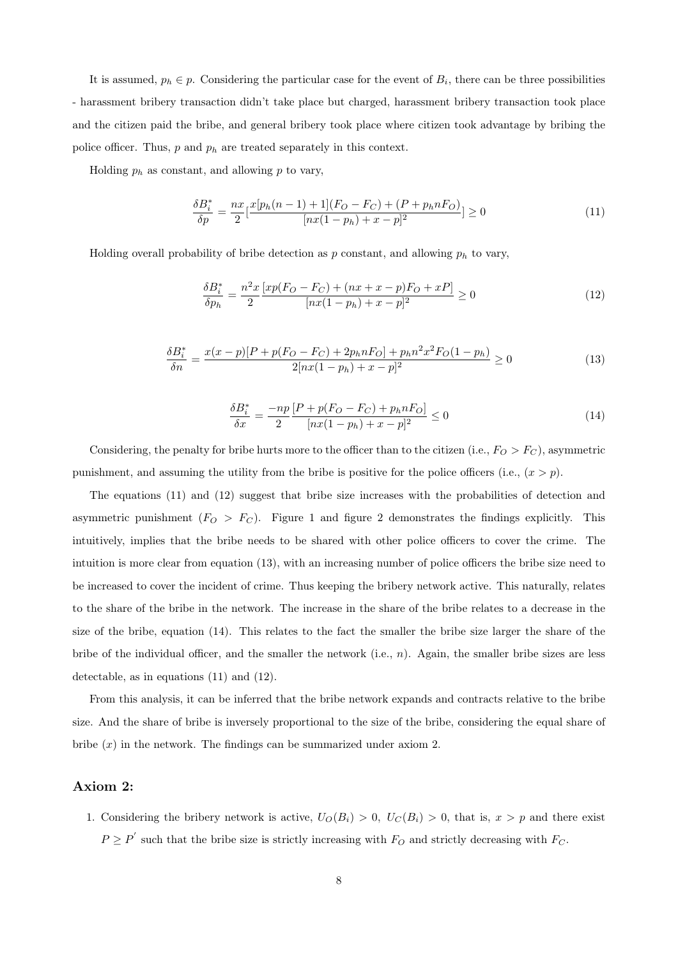It is assumed,  $p_h \in p$ . Considering the particular case for the event of  $B_i$ , there can be three possibilities - harassment bribery transaction didn't take place but charged, harassment bribery transaction took place and the citizen paid the bribe, and general bribery took place where citizen took advantage by bribing the police officer. Thus,  $p$  and  $p_h$  are treated separately in this context.

Holding  $p_h$  as constant, and allowing p to vary,

$$
\frac{\delta B_i^*}{\delta p} = \frac{nx}{2} \left[ \frac{x[p_h(n-1) + 1](F_O - F_C) + (P + p_h n F_O)}{[nx(1 - p_h) + x - p]^2} \right] \ge 0
$$
\n(11)

Holding overall probability of bribe detection as  $p$  constant, and allowing  $p_h$  to vary,

$$
\frac{\delta B_i^*}{\delta p_h} = \frac{n^2 x}{2} \frac{[x p (F_O - F_C) + (nx + x - p) F_O + x P]}{[nx (1 - p_h) + x - p]^2} \ge 0
$$
\n(12)

$$
\frac{\delta B_i^*}{\delta n} = \frac{x(x-p)[P + p(F_O - F_C) + 2p_h n F_O] + p_h n^2 x^2 F_O (1 - p_h)}{2[nx(1 - p_h) + x - p]^2} \ge 0
$$
\n(13)

$$
\frac{\delta B_i^*}{\delta x} = \frac{-np}{2} \frac{[P + p(F_O - F_C) + p_h nF_O]}{[nx(1 - p_h) + x - p]^2} \le 0
$$
\n(14)

Considering, the penalty for bribe hurts more to the officer than to the citizen (i.e.,  $F_O > F_C$ ), asymmetric punishment, and assuming the utility from the bribe is positive for the police officers (i.e.,  $(x > p)$ ).

The equations (11) and (12) suggest that bribe size increases with the probabilities of detection and asymmetric punishment  $(F<sub>O</sub> > F<sub>C</sub>)$ . Figure 1 and figure 2 demonstrates the findings explicitly. This intuitively, implies that the bribe needs to be shared with other police officers to cover the crime. The intuition is more clear from equation (13), with an increasing number of police officers the bribe size need to be increased to cover the incident of crime. Thus keeping the bribery network active. This naturally, relates to the share of the bribe in the network. The increase in the share of the bribe relates to a decrease in the size of the bribe, equation (14). This relates to the fact the smaller the bribe size larger the share of the bribe of the individual officer, and the smaller the network  $(i.e., n)$ . Again, the smaller bribe sizes are less detectable, as in equations (11) and (12).

From this analysis, it can be inferred that the bribe network expands and contracts relative to the bribe size. And the share of bribe is inversely proportional to the size of the bribe, considering the equal share of bribe  $(x)$  in the network. The findings can be summarized under axiom 2.

#### Axiom 2:

1. Considering the bribery network is active,  $U_O(B_i) > 0$ ,  $U_C(B_i) > 0$ , that is,  $x > p$  and there exist  $P \ge P'$  such that the bribe size is strictly increasing with  $F_O$  and strictly decreasing with  $F_C$ .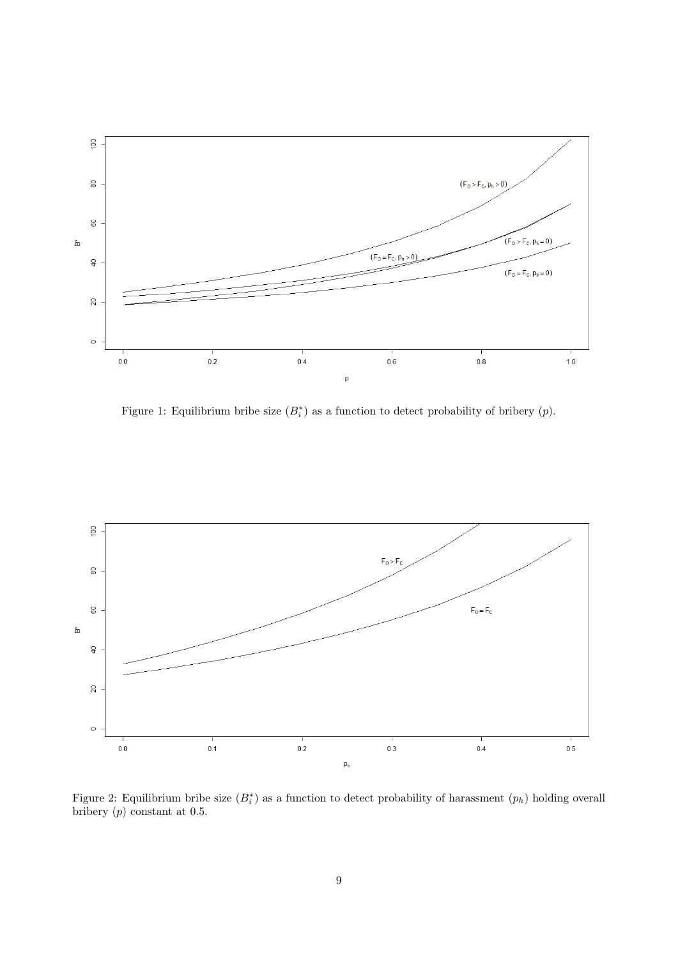

Figure 1: Equilibrium bribe size  $(B_i^*)$  as a function to detect probability of bribery  $(p)$ .



Figure 2: Equilibrium bribe size  $(B_i^*)$  as a function to detect probability of harassment  $(p_h)$  holding overall bribery  $(p)$  constant at 0.5.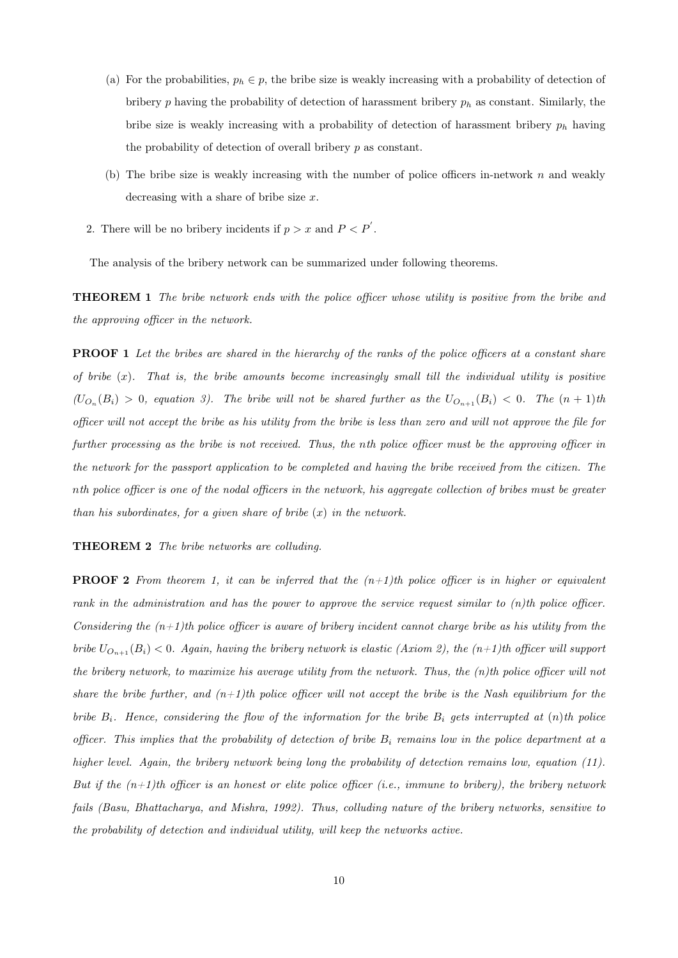- (a) For the probabilities,  $p_h \in p$ , the bribe size is weakly increasing with a probability of detection of bribery  $p$  having the probability of detection of harassment bribery  $p_h$  as constant. Similarly, the bribe size is weakly increasing with a probability of detection of harassment bribery  $p_h$  having the probability of detection of overall bribery p as constant.
- (b) The bribe size is weakly increasing with the number of police officers in-network  $n$  and weakly decreasing with a share of bribe size x.
- 2. There will be no bribery incidents if  $p > x$  and  $P < P'$ .

The analysis of the bribery network can be summarized under following theorems.

THEOREM 1 The bribe network ends with the police officer whose utility is positive from the bribe and the approving officer in the network.

**PROOF 1** Let the bribes are shared in the hierarchy of the ranks of the police officers at a constant share of bribe  $(x)$ . That is, the bribe amounts become increasingly small till the individual utility is positive  $(U_{O_n}(B_i) > 0$ , equation 3). The bribe will not be shared further as the  $U_{O_{n+1}}(B_i) < 0$ . The  $(n+1)$ th officer will not accept the bribe as his utility from the bribe is less than zero and will not approve the file for further processing as the bribe is not received. Thus, the nth police officer must be the approving officer in the network for the passport application to be completed and having the bribe received from the citizen. The nth police officer is one of the nodal officers in the network, his aggregate collection of bribes must be greater than his subordinates, for a given share of bribe  $(x)$  in the network.

#### THEOREM 2 The bribe networks are colluding.

**PROOF 2** From theorem 1, it can be inferred that the  $(n+1)$ th police officer is in higher or equivalent rank in the administration and has the power to approve the service request similar to (n)th police officer. Considering the  $(n+1)$ th police officer is aware of bribery incident cannot charge bribe as his utility from the bribe  $U_{O_{n+1}}(B_i) < 0$ . Again, having the bribery network is elastic (Axiom 2), the  $(n+1)$ th officer will support the bribery network, to maximize his average utility from the network. Thus, the (n)th police officer will not share the bribe further, and  $(n+1)$ th police officer will not accept the bribe is the Nash equilibrium for the bribe  $B_i$ . Hence, considering the flow of the information for the bribe  $B_i$  gets interrupted at  $(n)$ th police officer. This implies that the probability of detection of bribe  $B_i$  remains low in the police department at a higher level. Again, the bribery network being long the probability of detection remains low, equation (11). But if the  $(n+1)$ th officer is an honest or elite police officer (i.e., immune to bribery), the bribery network fails (Basu, Bhattacharya, and Mishra, 1992). Thus, colluding nature of the bribery networks, sensitive to the probability of detection and individual utility, will keep the networks active.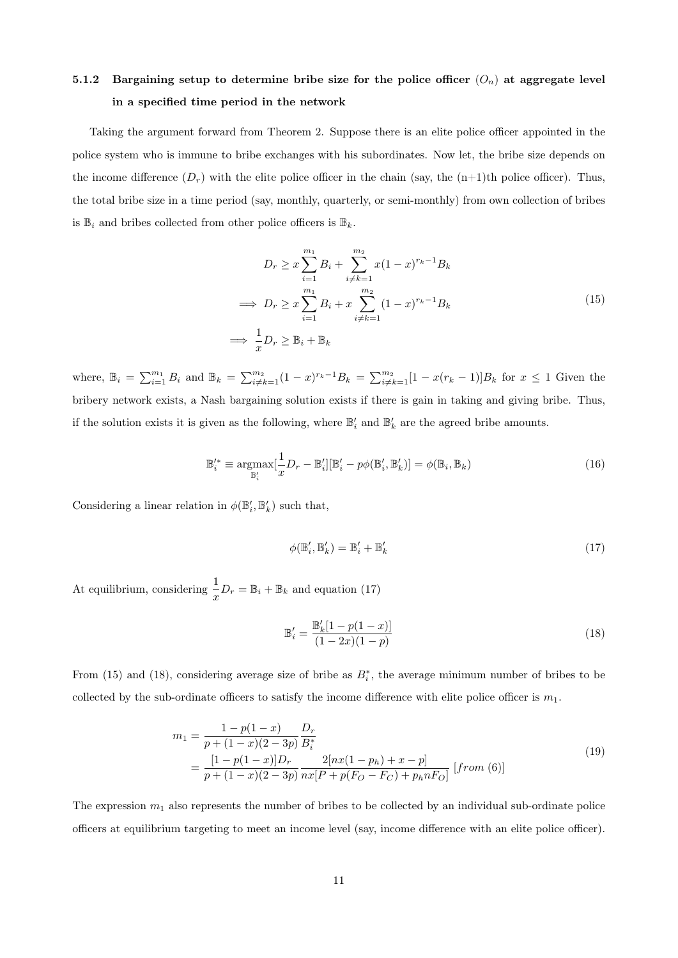# 5.1.2 Bargaining setup to determine bribe size for the police officer  $(O_n)$  at aggregate level in a specified time period in the network

Taking the argument forward from Theorem 2. Suppose there is an elite police officer appointed in the police system who is immune to bribe exchanges with his subordinates. Now let, the bribe size depends on the income difference  $(D_r)$  with the elite police officer in the chain (say, the  $(n+1)$ th police officer). Thus, the total bribe size in a time period (say, monthly, quarterly, or semi-monthly) from own collection of bribes is  $\mathbb{B}_i$  and bribes collected from other police officers is  $\mathbb{B}_k$ .

$$
D_r \ge x \sum_{i=1}^{m_1} B_i + \sum_{i \ne k=1}^{m_2} x(1-x)^{r_k-1} B_k
$$
  
\n
$$
\implies D_r \ge x \sum_{i=1}^{m_1} B_i + x \sum_{i \ne k=1}^{m_2} (1-x)^{r_k-1} B_k
$$
  
\n
$$
\implies \frac{1}{x} D_r \ge \mathbb{B}_i + \mathbb{B}_k
$$
\n(15)

where,  $\mathbb{B}_i = \sum_{i=1}^{m_1} B_i$  and  $\mathbb{B}_k = \sum_{i\neq k=1}^{m_2} (1-x)^{r_k-1} B_k = \sum_{i\neq k=1}^{m_2} [1-x(r_k-1)]B_k$  for  $x \leq 1$  Given the bribery network exists, a Nash bargaining solution exists if there is gain in taking and giving bribe. Thus, if the solution exists it is given as the following, where  $\mathbb{B}'_i$  and  $\mathbb{B}'_k$  are the agreed bribe amounts.

$$
\mathbb{B}_{i}^{\prime*} \equiv \underset{\mathbb{B}_{i}^{\prime}}{\operatorname{argmax}}[\frac{1}{x}D_{r} - \mathbb{B}_{i}^{\prime}][\mathbb{B}_{i}^{\prime} - p\phi(\mathbb{B}_{i}^{\prime}, \mathbb{B}_{k}^{\prime})] = \phi(\mathbb{B}_{i}, \mathbb{B}_{k})
$$
\n(16)

Considering a linear relation in  $\phi(\mathbb{B}'_i,\mathbb{B}'_k)$  such that,

$$
\phi(\mathbb{B}'_i, \mathbb{B}'_k) = \mathbb{B}'_i + \mathbb{B}'_k \tag{17}
$$

At equilibrium, considering  $\frac{1}{x}D_r = \mathbb{B}_i + \mathbb{B}_k$  and equation (17)

$$
\mathbb{B}'_i = \frac{\mathbb{B}'_k[1-p(1-x)]}{(1-2x)(1-p)}\tag{18}
$$

From (15) and (18), considering average size of bribe as  $B_i^*$ , the average minimum number of bribes to be collected by the sub-ordinate officers to satisfy the income difference with elite police officer is  $m_1$ .

$$
m_1 = \frac{1 - p(1 - x)}{p + (1 - x)(2 - 3p)} \frac{D_r}{B_i^*}
$$
  
= 
$$
\frac{[1 - p(1 - x)]D_r}{p + (1 - x)(2 - 3p)} \frac{2[nx(1 - p_h) + x - p]}{nx[P + p(F_O - F_C) + p_h nF_O]} [from (6)]
$$
 (19)

The expression  $m_1$  also represents the number of bribes to be collected by an individual sub-ordinate police officers at equilibrium targeting to meet an income level (say, income difference with an elite police officer).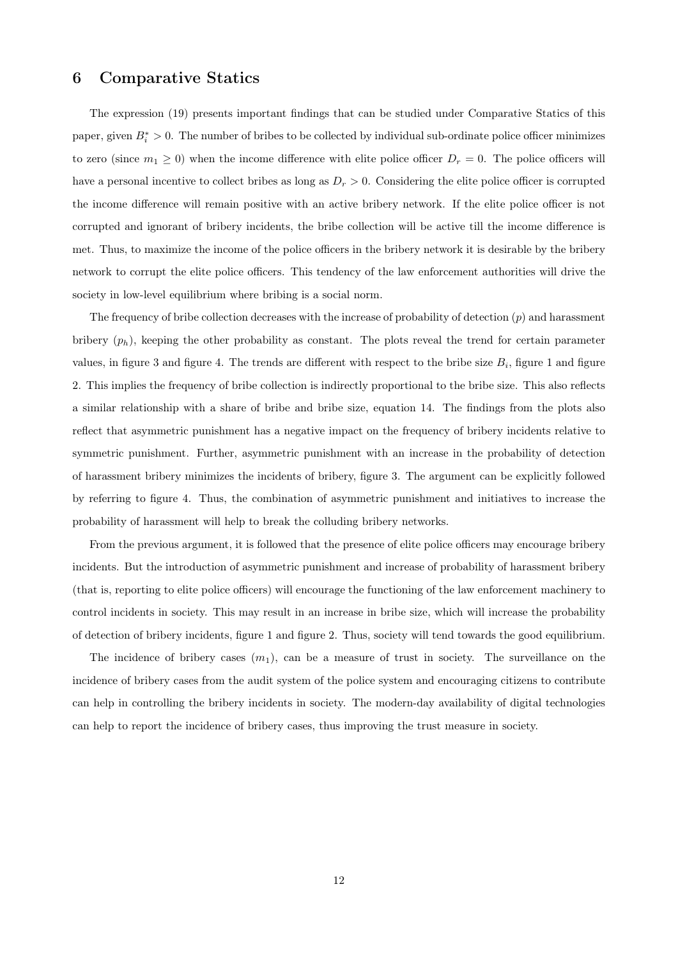## 6 Comparative Statics

The expression (19) presents important findings that can be studied under Comparative Statics of this paper, given  $B_i^* > 0$ . The number of bribes to be collected by individual sub-ordinate police officer minimizes to zero (since  $m_1 \geq 0$ ) when the income difference with elite police officer  $D_r = 0$ . The police officers will have a personal incentive to collect bribes as long as  $D_r > 0$ . Considering the elite police officer is corrupted the income difference will remain positive with an active bribery network. If the elite police officer is not corrupted and ignorant of bribery incidents, the bribe collection will be active till the income difference is met. Thus, to maximize the income of the police officers in the bribery network it is desirable by the bribery network to corrupt the elite police officers. This tendency of the law enforcement authorities will drive the society in low-level equilibrium where bribing is a social norm.

The frequency of bribe collection decreases with the increase of probability of detection  $(p)$  and harassment bribery  $(p_h)$ , keeping the other probability as constant. The plots reveal the trend for certain parameter values, in figure 3 and figure 4. The trends are different with respect to the bribe size  $B_i$ , figure 1 and figure 2. This implies the frequency of bribe collection is indirectly proportional to the bribe size. This also reflects a similar relationship with a share of bribe and bribe size, equation 14. The findings from the plots also reflect that asymmetric punishment has a negative impact on the frequency of bribery incidents relative to symmetric punishment. Further, asymmetric punishment with an increase in the probability of detection of harassment bribery minimizes the incidents of bribery, figure 3. The argument can be explicitly followed by referring to figure 4. Thus, the combination of asymmetric punishment and initiatives to increase the probability of harassment will help to break the colluding bribery networks.

From the previous argument, it is followed that the presence of elite police officers may encourage bribery incidents. But the introduction of asymmetric punishment and increase of probability of harassment bribery (that is, reporting to elite police officers) will encourage the functioning of the law enforcement machinery to control incidents in society. This may result in an increase in bribe size, which will increase the probability of detection of bribery incidents, figure 1 and figure 2. Thus, society will tend towards the good equilibrium.

The incidence of bribery cases  $(m_1)$ , can be a measure of trust in society. The surveillance on the incidence of bribery cases from the audit system of the police system and encouraging citizens to contribute can help in controlling the bribery incidents in society. The modern-day availability of digital technologies can help to report the incidence of bribery cases, thus improving the trust measure in society.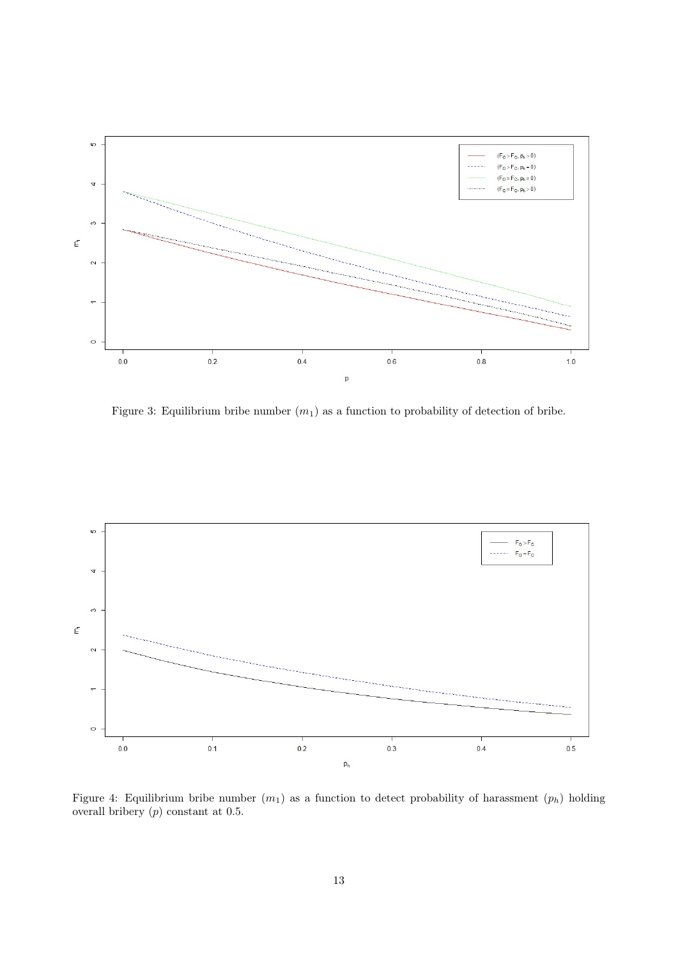

Figure 3: Equilibrium bribe number  $(m_1)$  as a function to probability of detection of bribe.



Figure 4: Equilibrium bribe number  $(m_1)$  as a function to detect probability of harassment  $(p_h)$  holding overall bribery (p) constant at 0.5.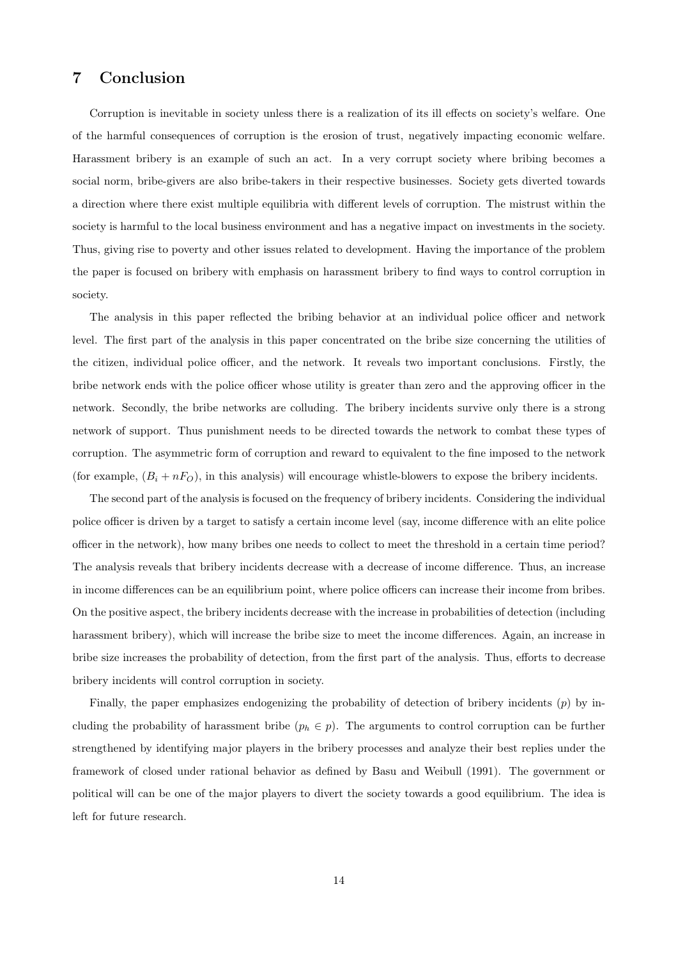## 7 Conclusion

Corruption is inevitable in society unless there is a realization of its ill effects on society's welfare. One of the harmful consequences of corruption is the erosion of trust, negatively impacting economic welfare. Harassment bribery is an example of such an act. In a very corrupt society where bribing becomes a social norm, bribe-givers are also bribe-takers in their respective businesses. Society gets diverted towards a direction where there exist multiple equilibria with different levels of corruption. The mistrust within the society is harmful to the local business environment and has a negative impact on investments in the society. Thus, giving rise to poverty and other issues related to development. Having the importance of the problem the paper is focused on bribery with emphasis on harassment bribery to find ways to control corruption in society.

The analysis in this paper reflected the bribing behavior at an individual police officer and network level. The first part of the analysis in this paper concentrated on the bribe size concerning the utilities of the citizen, individual police officer, and the network. It reveals two important conclusions. Firstly, the bribe network ends with the police officer whose utility is greater than zero and the approving officer in the network. Secondly, the bribe networks are colluding. The bribery incidents survive only there is a strong network of support. Thus punishment needs to be directed towards the network to combat these types of corruption. The asymmetric form of corruption and reward to equivalent to the fine imposed to the network (for example,  $(B_i + nF_O)$ , in this analysis) will encourage whistle-blowers to expose the bribery incidents.

The second part of the analysis is focused on the frequency of bribery incidents. Considering the individual police officer is driven by a target to satisfy a certain income level (say, income difference with an elite police officer in the network), how many bribes one needs to collect to meet the threshold in a certain time period? The analysis reveals that bribery incidents decrease with a decrease of income difference. Thus, an increase in income differences can be an equilibrium point, where police officers can increase their income from bribes. On the positive aspect, the bribery incidents decrease with the increase in probabilities of detection (including harassment bribery), which will increase the bribe size to meet the income differences. Again, an increase in bribe size increases the probability of detection, from the first part of the analysis. Thus, efforts to decrease bribery incidents will control corruption in society.

Finally, the paper emphasizes endogenizing the probability of detection of bribery incidents (p) by including the probability of harassment bribe  $(p_h \in p)$ . The arguments to control corruption can be further strengthened by identifying major players in the bribery processes and analyze their best replies under the framework of closed under rational behavior as defined by Basu and Weibull (1991). The government or political will can be one of the major players to divert the society towards a good equilibrium. The idea is left for future research.